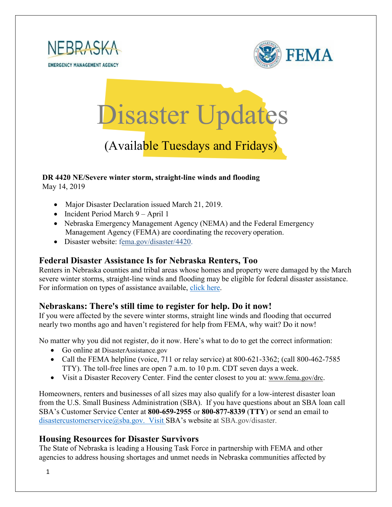



# Disaster Updates

## (Available Tuesdays and Fridays)

### **DR 4420 NE/Severe winter storm, straight-line winds and flooding**

May 14, 2019

- Major Disaster Declaration issued March 21, 2019.
- Incident Period March 9 April 1
- Nebraska Emergency Management Agency (NEMA) and the Federal Emergency Management Agency (FEMA) are coordinating the recovery operation.
- Disaster website: [fema.gov/disaster/4420.](https://www.fema.gov/disaster/4420)

#### **Federal Disaster Assistance Is for Nebraska Renters, Too**

Renters in Nebraska counties and tribal areas whose homes and property were damaged by the March severe winter storms, straight-line winds and flooding may be eligible for federal disaster assistance. For information on types of assistance available, [click here.](https://www.fema.gov/news-release/2019/05/13/federal-disaster-assistance-nebraska-renters-too)

#### **Nebraskans: There's still time to register for help. Do it now!**

If you were affected by the severe winter storms, straight line winds and flooding that occurred nearly two months ago and haven't registered for help from FEMA, why wait? Do it now!

No matter why you did not register, do it now. Here's what to do to get the correct information:

- Go online at DisasterAssistance.gov
- Call the FEMA helpline (voice, 711 or relay service) at 800-621-3362; (call 800-462-7585 TTY). The toll-free lines are open 7 a.m. to 10 p.m. CDT seven days a week.
- Visit a Disaster Recovery Center. Find the center closest to you at: [www.fema.gov/drc.](http://www.fema.gov/drc)

Homeowners, renters and businesses of all sizes may also qualify for a low-interest disaster loan from the U.S. Small Business Administration (SBA). If you have questions about an SBA loan call SBA's Customer Service Center at **800-659-2955** or **800-877-8339** (**TTY**) or send an email to [disastercustomerservice@sba.gov.](mailto:disastercustomerservice@sba.gov.) Visit SBA's website at SBA.gov/disaster.

#### **Housing Resources for Disaster Survivors**

The State of Nebraska is leading a Housing Task Force in partnership with FEMA and other agencies to address housing shortages and unmet needs in Nebraska communities affected by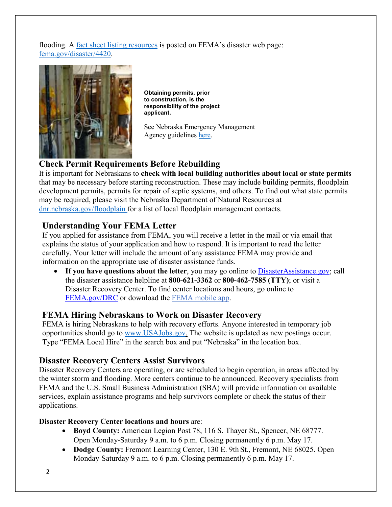flooding. A [fact sheet listing resources](https://edit.fema.gov/news-release/2019/04/19/fact-sheet-housing-resources-residents-nebraska-affected-march-storms-0) is posted on FEMA's disaster web page: [fema.gov/disaster/4420.](http://www.fema.gov/disaster/4420)



**Obtaining permits, prior to construction, is the responsibility of the project applicant.**

See Nebraska Emergency Management Agency guidelines [here.](https://nema.nebraska.gov/sites/nema.nebraska.gov/files/doc/ehp-considerations.pdf)

#### **Check Permit Requirements Before Rebuilding**

It is important for Nebraskans to **check with local building authorities about local or state permits** that may be necessary before starting reconstruction. These may include building permits, floodplain development permits, permits for repair of septic systems, and others. To find out what state permits may be required, please visit the Nebraska Department of Natural Resources at [dnr.nebraska.gov/floodplain](https://dnr.nebraska.gov/floodplain) for a list of local floodplain management contacts.

#### **Understanding Your FEMA Letter**

If you applied for assistance from FEMA, you will receive a letter in the mail or via email that explains the status of your application and how to respond. It is important to read the letter carefully. Your letter will include the amount of any assistance FEMA may provide and information on the appropriate use of disaster assistance funds.

• If you have questions about the letter, you may go online to [DisasterAssistance.gov;](http://www.disasterassistance.gov/) call the disaster assistance helpline at **800-621-3362** or **800-462-7585 (TTY)**; or visit a Disaster Recovery Center. To find center locations and hours, go online t[o](https://www.fema.gov/disaster-recovery-centers) [FEMA.gov/DRC](https://www.fema.gov/disaster-recovery-centers) or download the [FEMA mobile](https://www.fema.gov/mobile-app) app.

#### **FEMA Hiring Nebraskans to Work on Disaster Recovery**

FEMA is hiring Nebraskans to help with recovery efforts. Anyone interested in temporary job opportunities should go to [www.USAJobs.gov.](http://www.usajobs.gov/) The website is updated as new postings occur. Type "FEMA Local Hire" in the search box and put "Nebraska" in the location box.

#### **Disaster Recovery Centers Assist Survivors**

Disaster Recovery Centers are operating, or are scheduled to begin operation, in areas affected by the winter storm and flooding. More centers continue to be announced. Recovery specialists from FEMA and the U.S. Small Business Administration (SBA) will provide information on available services, explain assistance programs and help survivors complete or check the status of their applications.

#### **Disaster Recovery Center locations and hours** are:

- **Boyd County:** American Legion Post 78, 116 S. Thayer St., Spencer, NE 68777. Open Monday-Saturday 9 a.m. to 6 p.m. Closing permanently 6 p.m. May 17.
- **Dodge County:** Fremont Learning Center, 130 E. 9th St., Fremont, NE 68025. Open Monday-Saturday 9 a.m. to 6 p.m. Closing permanently 6 p.m. May 17.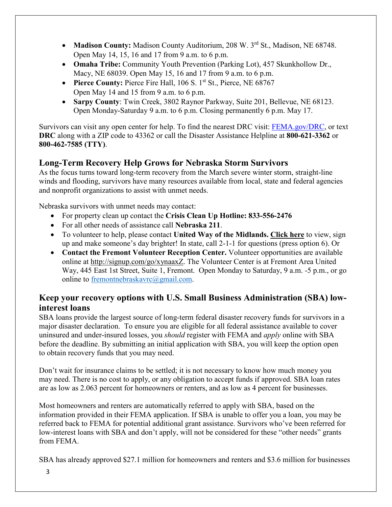- Madison County: Madison County Auditorium, 208 W. 3<sup>rd</sup> St., Madison, NE 68748. Open May 14, 15, 16 and 17 from 9 a.m. to 6 p.m.
- **Omaha Tribe:** Community Youth Prevention (Parking Lot), 457 Skunkhollow Dr., Macy, NE 68039. Open May 15, 16 and 17 from 9 a.m. to 6 p.m.
- **Pierce County:** Pierce Fire Hall, 106 S. 1<sup>st</sup> St., Pierce, NE 68767 Open May 14 and 15 from 9 a.m. to 6 p.m.
- **Sarpy County**: Twin Creek, 3802 Raynor Parkway, Suite 201, Bellevue, NE 68123. Open Monday-Saturday 9 a.m. to 6 p.m. Closing permanently 6 p.m. May 17.

Survivors can visit any open center for help. To find the nearest DRC visit: [FEMA.gov/DRC,](http://www.fema.gov/DRC) or text **DRC** along with a ZIP code to 43362 or call the Disaster Assistance Helpline at **800-621-3362** or **800-462-7585 (TTY)**.

#### **Long-Term Recovery Help Grows for Nebraska Storm Survivors**

As the focus turns toward long-term recovery from the March severe winter storm, straight-line winds and flooding, survivors have many resources available from local, state and federal agencies and nonprofit organizations to assist with unmet needs.

Nebraska survivors with unmet needs may contact:

- For property clean up contact the **Crisis Clean Up Hotline: 833-556-2476**
- For all other needs of assistance call **Nebraska 211**.
- To volunteer to help, please contact **United Way of the Midlands. [Click](https://uwmidlands.galaxydigital.com/need/?s=1&need_init_id=1660) here** to view, sign up and make someone's day brighter! In state, call 2-1-1 for questions (press option 6). Or
- **Contact the Fremont Volunteer Reception Center.** Volunteer opportunities are available online at [http://signup.com/go/xynaaxZ.](http://signup.com/go/xynaaxZ?fbclid=IwAR1m90U2vgYS7ECdb6AHljMooZNkdAfb6i-7s_1hgOCf11d0oi-VMnJcMYY) The Volunteer Center is at Fremont Area United Way, 445 East 1st Street, Suite 1, Fremont. Open Monday to Saturday, 9 a.m. -5 p.m., or go online to [fremontnebraskavrc@gmail.com.](mailto:fremontnebraskavrc@gmail.com)

#### **Keep your recovery options with U.S. Small Business Administration (SBA) lowinterest loans**

SBA loans provide the largest source of long-term federal disaster recovery funds for survivors in a major disaster declaration. To ensure you are eligible for all federal assistance available to cover uninsured and under-insured losses, you *should* register with FEMA and *apply* online with SBA before the deadline. By submitting an initial application with SBA, you will keep the option open to obtain recovery funds that you may need.

Don't wait for insurance claims to be settled; it is not necessary to know how much money you may need. There is no cost to apply, or any obligation to accept funds if approved. SBA loan rates are as low as 2.063 percent for homeowners or renters, and as low as 4 percent for businesses.

Most homeowners and renters are automatically referred to apply with SBA, based on the information provided in their FEMA application. If SBA is unable to offer you a loan, you may be referred back to FEMA for potential additional grant assistance. Survivors who've been referred for low-interest loans with SBA and don't apply, will not be considered for these "other needs" grants from FEMA.

SBA has already approved \$27.1 million for homeowners and renters and \$3.6 million for businesses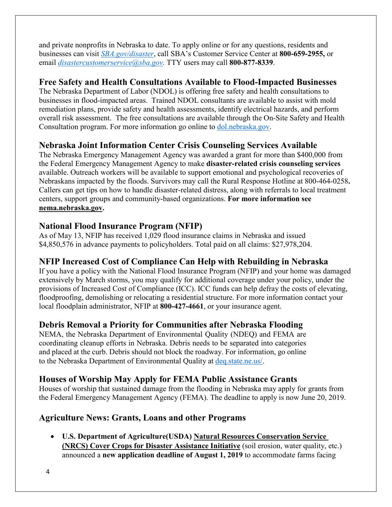and private nonprofits in Nebraska to date. To apply online or for any questions, residents and businesses can visit *[SBA.gov/disaster](http://www.sba.gov/disaster)*, call SBA's Customer Service Center at **800-659-2955,** or email *[disastercustomerservice@sba.gov.](mailto:disastercustomerservice@sba.gov)* TTY users may call **800-877-8339**.

#### **Free Safety and Health Consultations Available to Flood-Impacted Businesses**

The Nebraska Department of Labor (NDOL) is offering free safety and health consultations to businesses in flood-impacted areas. Trained NDOL consultants are available to assist with mold remediation plans, provide safety and health assessments, identify electrical hazards, and perform overall risk assessment. The free consultations are available through the On-Site Safety and Health Consultation program. For more information go online to [dol.nebraska.gov.](https://dol.nebraska.gov/PressRelease/Details/117)

#### **Nebraska Joint Information Center Crisis Counseling Services Available**

The Nebraska Emergency Management Agency was awarded a grant for more than \$400,000 from the Federal Emergency Management Agency to make **disaster-related crisis counseling services** available. Outreach workers will be available to support emotional and psychological recoveries of Nebraskans impacted by the floods. Survivors may call the Rural Response Hotline at 800-464-0258**.**  Callers can get tips on how to handle disaster-related distress, along with referrals to local treatment centers, support groups and community-based organizations. **For more information see [nema.nebraska.gov.](file://fema.net/R7/DR/DR-4420-NE/EA/Planning%20and%20Products/Writers/Dale%20Bonza/DFS/nema.nebraska.gov)**

#### **National Flood Insurance Program (NFIP)**

As of May 13, NFIP has received 1,029 flood insurance claims in Nebraska and issued \$4,850,576 in advance payments to policyholders. Total paid on all claims: \$27,978,204.

#### **NFIP Increased Cost of Compliance Can Help with Rebuilding in Nebraska**

If you have a policy with the National Flood Insurance Program (NFIP) and your home was damaged extensively by March storms, you may qualify for additional coverage under your policy, under the provisions of Increased Cost of Compliance (ICC). ICC funds can help defray the costs of elevating, floodproofing, demolishing or relocating a residential structure. For more information contact your local floodplain administrator, NFIP at **800-427-4661**, or your insurance agent.

#### **Debris Removal a Priority for Communities after Nebraska Flooding**

NEMA, the Nebraska Department of Environmental Quality (NDEQ) and FEMA are coordinating cleanup efforts in Nebraska. Debris needs to be separated into categories and placed at the curb. Debris should not block the roadway. For information, go online to the Nebraska Department of Environmental Quality at [deq.state.ne.us/.](http://www.deq.state.ne.us/)

#### **Houses of Worship May Apply for FEMA Public Assistance Grants**

Houses of worship that sustained damage from the flooding in Nebraska may apply for grants from the Federal Emergency Management Agency (FEMA). The deadline to apply is now June 20, 2019.

#### **Agriculture News: Grants, Loans and other Programs**

• **U.S. Department of Agriculture(USDA) [Natural Resources Conservation Service](https://www.nrcs.usda.gov/wps/portal/nrcs/mo/newsroom/releases/9cb3c5a7-d3a4-470f-8fa0-cb132f8e07ab/)  (NRCS) [Cover Crops for Disaster Assistance Initiative](https://www.nrcs.usda.gov/wps/portal/nrcs/mo/newsroom/releases/9cb3c5a7-d3a4-470f-8fa0-cb132f8e07ab/)** (soil erosion, water quality, etc.) announced a **new application deadline of August 1, 2019** to accommodate farms facing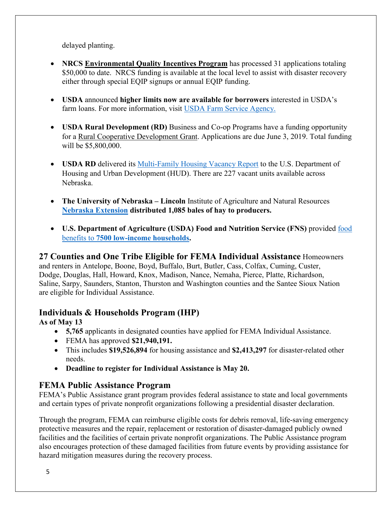delayed planting.

- **[NRCS Environmental Quality Incentives Program](https://www.nrcs.usda.gov/Internet/FSE_MEDIA/nrcseprd1429025.pdf)** has processed 31 applications totaling \$50,000 to date. NRCS funding is available at the local level to assist with disaster recovery either through special EQIP signups or annual EQIP funding.
- **USDA** announced **higher limits now are available for borrowers** interested in USDA's farm loans. For more information, visit [USDA Farm Service Agency.](https://www.fsa.usda.gov/)
- **USDA Rural Development (RD)** Business and Co-op Programs have a funding opportunity for a [Rural Cooperative Development Grant.](https://www.rd.usda.gov/programs-services/rural-cooperative-development-grant-program) Applications are due June 3, 2019. Total funding will be \$5,800,000.
- **USDA RD** delivered its Multi-Family [Housing Vacancy Report](https://www.rd.usda.gov/) to the U.S. Department of Housing and Urban Development (HUD). There are 227 vacant units available across Nebraska.
- **The University of Nebraska – Lincoln** Institute of Agriculture and Natural Resources **[Nebraska Extension](https://extension.unl.edu/) distributed 1,085 bales of hay to producers.**
- **U.S. Department of Agriculture (USDA) Food and Nutrition Service (FNS)** provided [food](https://www.fns.usda.gov/disaster/nebraska-disaster-nutrition-assistance)  benefits to **[7500 low-income households.](https://www.fns.usda.gov/disaster/nebraska-disaster-nutrition-assistance)**

#### **27 Counties and One Tribe Eligible for FEMA Individual Assistance** Homeowners

and renters in Antelope, Boone, Boyd, Buffalo, Burt, Butler, Cass, Colfax, Cuming, Custer, Dodge, Douglas, Hall, Howard, Knox, Madison, Nance, Nemaha, Pierce, Platte, Richardson, Saline, Sarpy, Saunders, Stanton, Thurston and Washington counties and the Santee Sioux Nation are eligible for Individual Assistance.

#### **Individuals & Households Program (IHP)**

#### **As of May 13**

- **5,765** applicants in designated counties have applied for FEMA Individual Assistance.
- FEMA has approved **\$21,940,191.**
- This includes **\$19,526,894** for housing assistance and **\$2,413,297** for disaster-related other needs.
- **Deadline to register for Individual Assistance is May 20.**

#### **FEMA Public Assistance Program**

FEMA's Public Assistance grant program provides federal assistance to state and local governments and certain types of private nonprofit organizations following a presidential disaster declaration.

Through the program, FEMA can reimburse eligible costs for debris removal, life-saving emergency protective measures and the repair, replacement or restoration of disaster-damaged publicly owned facilities and the facilities of certain private nonprofit organizations. The Public Assistance program also encourages protection of these damaged facilities from future events by providing assistance for hazard mitigation measures during the recovery process.